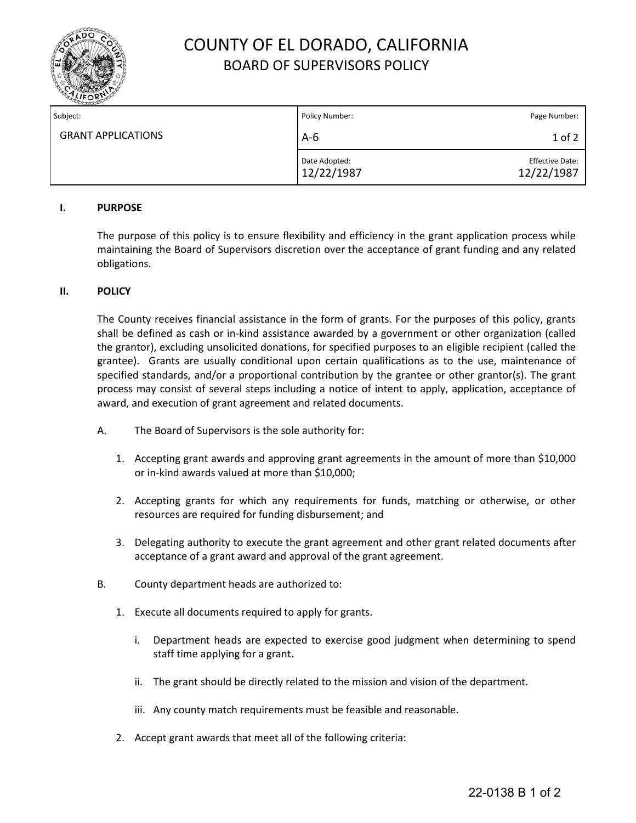

# COUNTY OF EL DORADO, CALIFORNIA BOARD OF SUPERVISORS POLICY

| Subject:                  | Policy Number:              | Page Number:                         |
|---------------------------|-----------------------------|--------------------------------------|
| <b>GRANT APPLICATIONS</b> | $A-6$                       | 1 of 2                               |
|                           | Date Adopted:<br>12/22/1987 | <b>Effective Date:</b><br>12/22/1987 |

## **I. PURPOSE**

The purpose of this policy is to ensure flexibility and efficiency in the grant application process while maintaining the Board of Supervisors discretion over the acceptance of grant funding and any related obligations.

#### **II. POLICY**

The County receives financial assistance in the form of grants. For the purposes of this policy, grants shall be defined as cash or in-kind assistance awarded by a government or other organization (called the grantor), excluding unsolicited donations, for specified purposes to an eligible recipient (called the grantee). Grants are usually conditional upon certain qualifications as to the use, maintenance of specified standards, and/or a proportional contribution by the grantee or other grantor(s). The grant process may consist of several steps including a notice of intent to apply, application, acceptance of award, and execution of grant agreement and related documents.

- A. The Board of Supervisors is the sole authority for:
	- 1. Accepting grant awards and approving grant agreements in the amount of more than \$10,000 or in-kind awards valued at more than \$10,000;
	- 2. Accepting grants for which any requirements for funds, matching or otherwise, or other resources are required for funding disbursement; and
	- 3. Delegating authority to execute the grant agreement and other grant related documents after acceptance of a grant award and approval of the grant agreement.
- B. County department heads are authorized to:
	- 1. Execute all documents required to apply for grants.
		- i. Department heads are expected to exercise good judgment when determining to spend staff time applying for a grant.
		- ii. The grant should be directly related to the mission and vision of the department.
		- iii. Any county match requirements must be feasible and reasonable.
	- 2. Accept grant awards that meet all of the following criteria: